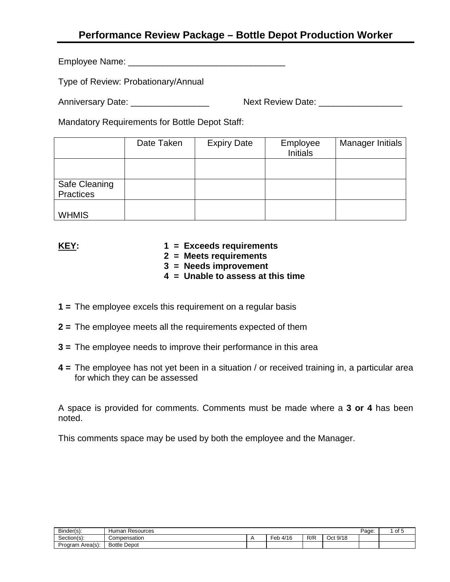# **Performance Review Package – Bottle Depot Production Worker**

Employee Name: **Employee Name:** 

Type of Review: Probationary/Annual

Anniversary Date: \_\_\_\_\_\_\_\_\_\_\_\_\_\_\_\_ Next Review Date: \_\_\_\_\_\_\_\_\_\_\_\_\_\_\_\_\_

Mandatory Requirements for Bottle Depot Staff:

|                            | Date Taken | <b>Expiry Date</b> | Employee<br><b>Initials</b> | Manager Initials |
|----------------------------|------------|--------------------|-----------------------------|------------------|
|                            |            |                    |                             |                  |
| Safe Cleaning<br>Practices |            |                    |                             |                  |
| <b>WHMIS</b>               |            |                    |                             |                  |

- **KEY: 1 = Exceeds requirements**
	- **2 = Meets requirements**
	- **3 = Needs improvement**
	- **4 = Unable to assess at this time**
- **1 =** The employee excels this requirement on a regular basis
- **2 =** The employee meets all the requirements expected of them
- **3 =** The employee needs to improve their performance in this area
- **4 =** The employee has not yet been in a situation / or received training in, a particular area for which they can be assessed

A space is provided for comments. Comments must be made where a **3 or 4** has been noted.

This comments space may be used by both the employee and the Manager.

| Binder(s):<br><b>Human</b><br>Resources |                     |  |                        |     | Page:         | $\sim$<br>- 14<br>ັບເ |  |
|-----------------------------------------|---------------------|--|------------------------|-----|---------------|-----------------------|--|
| Section(s):                             | Compensation        |  | 4/16<br>-<br>⊑oh<br>UN | R/R | : 9/18<br>Oct |                       |  |
| Program<br>Area(s):                     | <b>Bottle Depot</b> |  |                        |     |               |                       |  |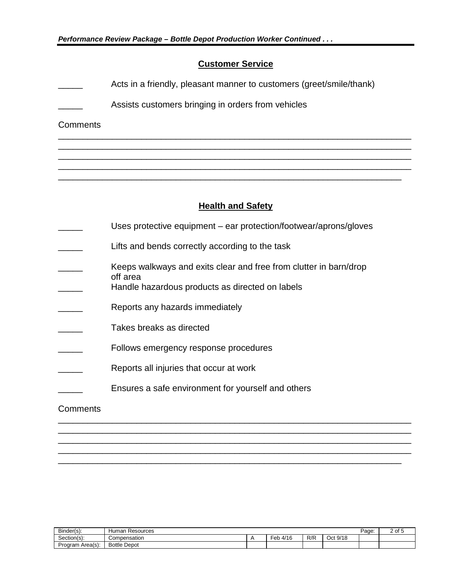## **Customer Service**

- Acts in a friendly, pleasant manner to customers (greet/smile/thank)
- Assists customers bringing in orders from vehicles

#### **Comments**

## **Health and Safety**

\_\_\_\_\_\_\_\_\_\_\_\_\_\_\_\_\_\_\_\_\_\_\_\_\_\_\_\_\_\_\_\_\_\_\_\_\_\_\_\_\_\_\_\_\_\_\_\_\_\_\_\_\_\_\_\_\_\_\_\_\_\_\_\_\_\_\_\_\_\_\_\_ \_\_\_\_\_\_\_\_\_\_\_\_\_\_\_\_\_\_\_\_\_\_\_\_\_\_\_\_\_\_\_\_\_\_\_\_\_\_\_\_\_\_\_\_\_\_\_\_\_\_\_\_\_\_\_\_\_\_\_\_\_\_\_\_\_\_\_\_\_\_\_\_ \_\_\_\_\_\_\_\_\_\_\_\_\_\_\_\_\_\_\_\_\_\_\_\_\_\_\_\_\_\_\_\_\_\_\_\_\_\_\_\_\_\_\_\_\_\_\_\_\_\_\_\_\_\_\_\_\_\_\_\_\_\_\_\_\_\_\_\_\_\_\_\_ \_\_\_\_\_\_\_\_\_\_\_\_\_\_\_\_\_\_\_\_\_\_\_\_\_\_\_\_\_\_\_\_\_\_\_\_\_\_\_\_\_\_\_\_\_\_\_\_\_\_\_\_\_\_\_\_\_\_\_\_\_\_\_\_\_\_\_\_\_\_\_\_ \_\_\_\_\_\_\_\_\_\_\_\_\_\_\_\_\_\_\_\_\_\_\_\_\_\_\_\_\_\_\_\_\_\_\_\_\_\_\_\_\_\_\_\_\_\_\_\_\_\_\_\_\_\_\_\_\_\_\_\_\_\_\_\_\_\_\_\_\_\_

- Uses protective equipment ear protection/footwear/aprons/gloves
- Lifts and bends correctly according to the task
- Keeps walkways and exits clear and free from clutter in barn/drop off area
	- Handle hazardous products as directed on labels
- Reports any hazards immediately
- Takes breaks as directed
- Follows emergency response procedures
- Reports all injuries that occur at work
- Ensures a safe environment for yourself and others

#### **Comments**

| n'<br>Binder(s): | Resources<br><b>lumar</b> |  |             |     |                          |  | $\cdot$ |
|------------------|---------------------------|--|-------------|-----|--------------------------|--|---------|
| ~<br>Section(s): | Compensation              |  | 4/16<br>∙eb | R/F | Q/18<br>Oct<br>ם י<br>ات |  |         |
| Program Area(s): | <b>Bottle Depot</b>       |  |             |     |                          |  |         |

\_\_\_\_\_\_\_\_\_\_\_\_\_\_\_\_\_\_\_\_\_\_\_\_\_\_\_\_\_\_\_\_\_\_\_\_\_\_\_\_\_\_\_\_\_\_\_\_\_\_\_\_\_\_\_\_\_\_\_\_\_\_\_\_\_\_\_\_\_\_\_\_ \_\_\_\_\_\_\_\_\_\_\_\_\_\_\_\_\_\_\_\_\_\_\_\_\_\_\_\_\_\_\_\_\_\_\_\_\_\_\_\_\_\_\_\_\_\_\_\_\_\_\_\_\_\_\_\_\_\_\_\_\_\_\_\_\_\_\_\_\_\_\_\_ \_\_\_\_\_\_\_\_\_\_\_\_\_\_\_\_\_\_\_\_\_\_\_\_\_\_\_\_\_\_\_\_\_\_\_\_\_\_\_\_\_\_\_\_\_\_\_\_\_\_\_\_\_\_\_\_\_\_\_\_\_\_\_\_\_\_\_\_\_\_\_\_ \_\_\_\_\_\_\_\_\_\_\_\_\_\_\_\_\_\_\_\_\_\_\_\_\_\_\_\_\_\_\_\_\_\_\_\_\_\_\_\_\_\_\_\_\_\_\_\_\_\_\_\_\_\_\_\_\_\_\_\_\_\_\_\_\_\_\_\_\_\_\_\_ \_\_\_\_\_\_\_\_\_\_\_\_\_\_\_\_\_\_\_\_\_\_\_\_\_\_\_\_\_\_\_\_\_\_\_\_\_\_\_\_\_\_\_\_\_\_\_\_\_\_\_\_\_\_\_\_\_\_\_\_\_\_\_\_\_\_\_\_\_\_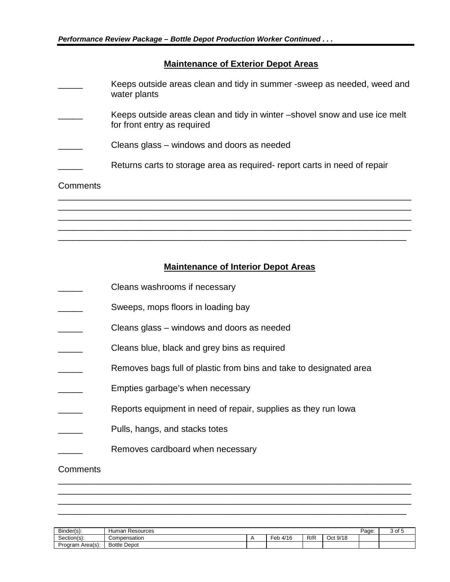## **Maintenance of Exterior Depot Areas**

|          | Keeps outside areas clean and tidy in summer -sweep as needed, weed and<br>water plants                    |
|----------|------------------------------------------------------------------------------------------------------------|
|          | Keeps outside areas clean and tidy in winter – shovel snow and use ice melt<br>for front entry as required |
|          | Cleans glass – windows and doors as needed                                                                 |
|          | Returns carts to storage area as required- report carts in need of repair                                  |
| Comments |                                                                                                            |
|          |                                                                                                            |
|          |                                                                                                            |

## **Maintenance of Interior Depot Areas**

\_\_\_\_\_\_\_\_\_\_\_\_\_\_\_\_\_\_\_\_\_\_\_\_\_\_\_\_\_\_\_\_\_\_\_\_\_\_\_\_\_\_\_\_\_\_\_\_\_\_\_\_\_\_\_\_\_\_\_\_\_\_\_\_\_\_\_\_\_\_\_\_ \_\_\_\_\_\_\_\_\_\_\_\_\_\_\_\_\_\_\_\_\_\_\_\_\_\_\_\_\_\_\_\_\_\_\_\_\_\_\_\_\_\_\_\_\_\_\_\_\_\_\_\_\_\_\_\_\_\_\_\_\_\_\_\_\_\_\_\_\_\_\_

- Cleans washrooms if necessary
- Sweeps, mops floors in loading bay
- Cleans glass windows and doors as needed
- Cleans blue, black and grey bins as required
- Removes bags full of plastic from bins and take to designated area
- Empties garbage's when necessary
- Reports equipment in need of repair, supplies as they run lowa
- Pulls, hangs, and stacks totes
- Removes cardboard when necessary

## **Comments**

| n'<br>Binder(s):<br>Human<br>Resources |                     |  |                                 |     | Page:       | 3 of ' |  |
|----------------------------------------|---------------------|--|---------------------------------|-----|-------------|--------|--|
| ~<br>Section(s):                       | Compensation        |  | .4/16<br>$\sim$ 1<br>er.<br>טוי | R/F | 9/18<br>Dct |        |  |
| Program Area(s):                       | <b>Bottle Depot</b> |  |                                 |     |             |        |  |

\_\_\_\_\_\_\_\_\_\_\_\_\_\_\_\_\_\_\_\_\_\_\_\_\_\_\_\_\_\_\_\_\_\_\_\_\_\_\_\_\_\_\_\_\_\_\_\_\_\_\_\_\_\_\_\_\_\_\_\_\_\_\_\_\_\_\_\_\_\_\_\_ \_\_\_\_\_\_\_\_\_\_\_\_\_\_\_\_\_\_\_\_\_\_\_\_\_\_\_\_\_\_\_\_\_\_\_\_\_\_\_\_\_\_\_\_\_\_\_\_\_\_\_\_\_\_\_\_\_\_\_\_\_\_\_\_\_\_\_\_\_\_\_\_ \_\_\_\_\_\_\_\_\_\_\_\_\_\_\_\_\_\_\_\_\_\_\_\_\_\_\_\_\_\_\_\_\_\_\_\_\_\_\_\_\_\_\_\_\_\_\_\_\_\_\_\_\_\_\_\_\_\_\_\_\_\_\_\_\_\_\_\_\_\_\_\_ \_\_\_\_\_\_\_\_\_\_\_\_\_\_\_\_\_\_\_\_\_\_\_\_\_\_\_\_\_\_\_\_\_\_\_\_\_\_\_\_\_\_\_\_\_\_\_\_\_\_\_\_\_\_\_\_\_\_\_\_\_\_\_\_\_\_\_\_\_\_\_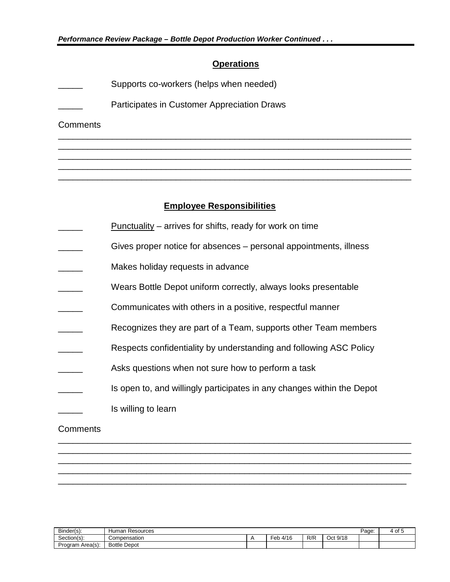### **Operations**

\_\_\_\_\_\_\_\_\_\_\_\_\_\_\_\_\_\_\_\_\_\_\_\_\_\_\_\_\_\_\_\_\_\_\_\_\_\_\_\_\_\_\_\_\_\_\_\_\_\_\_\_\_\_\_\_\_\_\_\_\_\_\_\_\_\_\_\_\_\_\_\_ \_\_\_\_\_\_\_\_\_\_\_\_\_\_\_\_\_\_\_\_\_\_\_\_\_\_\_\_\_\_\_\_\_\_\_\_\_\_\_\_\_\_\_\_\_\_\_\_\_\_\_\_\_\_\_\_\_\_\_\_\_\_\_\_\_\_\_\_\_\_\_\_ \_\_\_\_\_\_\_\_\_\_\_\_\_\_\_\_\_\_\_\_\_\_\_\_\_\_\_\_\_\_\_\_\_\_\_\_\_\_\_\_\_\_\_\_\_\_\_\_\_\_\_\_\_\_\_\_\_\_\_\_\_\_\_\_\_\_\_\_\_\_\_\_ \_\_\_\_\_\_\_\_\_\_\_\_\_\_\_\_\_\_\_\_\_\_\_\_\_\_\_\_\_\_\_\_\_\_\_\_\_\_\_\_\_\_\_\_\_\_\_\_\_\_\_\_\_\_\_\_\_\_\_\_\_\_\_\_\_\_\_\_\_\_\_\_ \_\_\_\_\_\_\_\_\_\_\_\_\_\_\_\_\_\_\_\_\_\_\_\_\_\_\_\_\_\_\_\_\_\_\_\_\_\_\_\_\_\_\_\_\_\_\_\_\_\_\_\_\_\_\_\_\_\_\_\_\_\_\_\_\_\_\_\_\_\_\_\_

- Supports co-workers (helps when needed)
- Participates in Customer Appreciation Draws

**Comments** 

### **Employee Responsibilities**

- $Punctuality arrives$  for shifts, ready for work on time
- Gives proper notice for absences personal appointments, illness
- Makes holiday requests in advance
- Wears Bottle Depot uniform correctly, always looks presentable
- Communicates with others in a positive, respectful manner
- Recognizes they are part of a Team, supports other Team members
- Respects confidentiality by understanding and following ASC Policy
- Asks questions when not sure how to perform a task
- Is open to, and willingly participates in any changes within the Depot Is willing to learn

#### **Comments**

| Binder(s):       | Page:<br>Resources<br>Human |  |             |     |                                        |  | Οt |
|------------------|-----------------------------|--|-------------|-----|----------------------------------------|--|----|
| Section(s):      | Compensation                |  | 4/16<br>Feb | R/R | $10+$ Q/1 <sup>c</sup><br>97 I C<br>◡◡ |  |    |
| Program Area(s): | <b>Bottle</b><br>Depot      |  |             |     |                                        |  |    |

\_\_\_\_\_\_\_\_\_\_\_\_\_\_\_\_\_\_\_\_\_\_\_\_\_\_\_\_\_\_\_\_\_\_\_\_\_\_\_\_\_\_\_\_\_\_\_\_\_\_\_\_\_\_\_\_\_\_\_\_\_\_\_\_\_\_\_\_\_\_\_\_ \_\_\_\_\_\_\_\_\_\_\_\_\_\_\_\_\_\_\_\_\_\_\_\_\_\_\_\_\_\_\_\_\_\_\_\_\_\_\_\_\_\_\_\_\_\_\_\_\_\_\_\_\_\_\_\_\_\_\_\_\_\_\_\_\_\_\_\_\_\_\_\_ \_\_\_\_\_\_\_\_\_\_\_\_\_\_\_\_\_\_\_\_\_\_\_\_\_\_\_\_\_\_\_\_\_\_\_\_\_\_\_\_\_\_\_\_\_\_\_\_\_\_\_\_\_\_\_\_\_\_\_\_\_\_\_\_\_\_\_\_\_\_\_\_ \_\_\_\_\_\_\_\_\_\_\_\_\_\_\_\_\_\_\_\_\_\_\_\_\_\_\_\_\_\_\_\_\_\_\_\_\_\_\_\_\_\_\_\_\_\_\_\_\_\_\_\_\_\_\_\_\_\_\_\_\_\_\_\_\_\_\_\_\_\_\_\_ \_\_\_\_\_\_\_\_\_\_\_\_\_\_\_\_\_\_\_\_\_\_\_\_\_\_\_\_\_\_\_\_\_\_\_\_\_\_\_\_\_\_\_\_\_\_\_\_\_\_\_\_\_\_\_\_\_\_\_\_\_\_\_\_\_\_\_\_\_\_\_